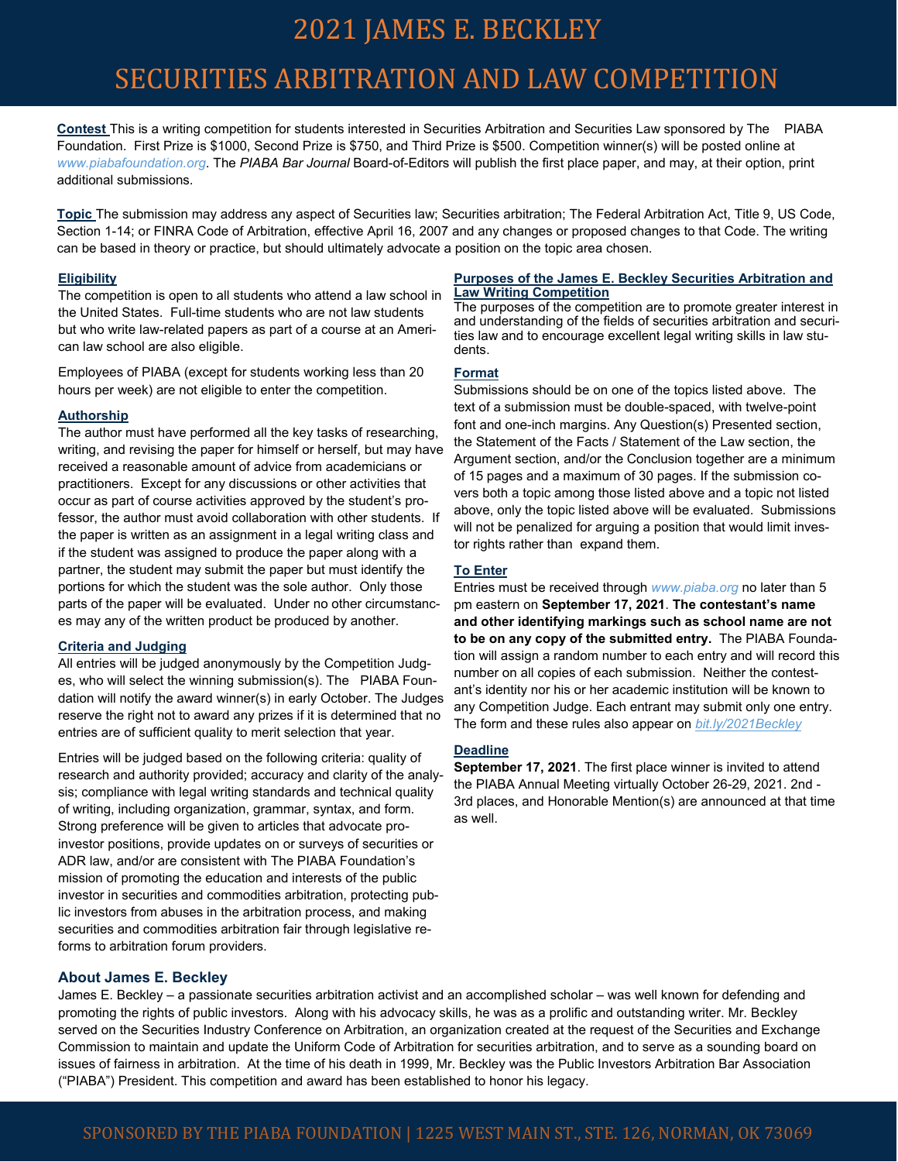## 2021 JAMES E. BECKLEY

## SECURITIES ARBITRATION AND LAW COMPETITION

**Contest** This is a writing competition for students interested in Securities Arbitration and Securities Law sponsored by The PIABA Foundation. First Prize is \$1000, Second Prize is \$750, and Third Prize is \$500. Competition winner(s) will be posted online at *www.piabafoundation.org*. The *PIABA Bar Journal* Board-of-Editors will publish the first place paper, and may, at their option, print additional submissions.

**Topic** The submission may address any aspect of Securities law; Securities arbitration; The Federal Arbitration Act, Title 9, US Code, Section 1-14; or FINRA Code of Arbitration, effective April 16, 2007 and any changes or proposed changes to that Code. The writing can be based in theory or practice, but should ultimately advocate a position on the topic area chosen.

#### **Eligibility**

The competition is open to all students who attend a law school in the United States. Full-time students who are not law students but who write law-related papers as part of a course at an American law school are also eligible.

Employees of PIABA (except for students working less than 20 hours per week) are not eligible to enter the competition.

#### **Authorship**

The author must have performed all the key tasks of researching, writing, and revising the paper for himself or herself, but may have received a reasonable amount of advice from academicians or practitioners. Except for any discussions or other activities that occur as part of course activities approved by the student's professor, the author must avoid collaboration with other students. If the paper is written as an assignment in a legal writing class and if the student was assigned to produce the paper along with a partner, the student may submit the paper but must identify the portions for which the student was the sole author. Only those parts of the paper will be evaluated. Under no other circumstances may any of the written product be produced by another.

#### **Criteria and Judging**

All entries will be judged anonymously by the Competition Judges, who will select the winning submission(s). The PIABA Foundation will notify the award winner(s) in early October. The Judges reserve the right not to award any prizes if it is determined that no entries are of sufficient quality to merit selection that year.

Entries will be judged based on the following criteria: quality of research and authority provided; accuracy and clarity of the analysis; compliance with legal writing standards and technical quality of writing, including organization, grammar, syntax, and form. Strong preference will be given to articles that advocate proinvestor positions, provide updates on or surveys of securities or ADR law, and/or are consistent with The PIABA Foundation's mission of promoting the education and interests of the public investor in securities and commodities arbitration, protecting public investors from abuses in the arbitration process, and making securities and commodities arbitration fair through legislative reforms to arbitration forum providers.

#### **Purposes of the James E. Beckley Securities Arbitration and Law Writing Competition**

The purposes of the competition are to promote greater interest in and understanding of the fields of securities arbitration and securities law and to encourage excellent legal writing skills in law students.

#### **Format**

Submissions should be on one of the topics listed above. The text of a submission must be double-spaced, with twelve-point font and one-inch margins. Any Question(s) Presented section, the Statement of the Facts / Statement of the Law section, the Argument section, and/or the Conclusion together are a minimum of 15 pages and a maximum of 30 pages. If the submission covers both a topic among those listed above and a topic not listed above, only the topic listed above will be evaluated. Submissions will not be penalized for arguing a position that would limit investor rights rather than expand them.

#### **To Enter**

Entries must be received through *www.piaba.org* no later than 5 pm eastern on **September 17, 2021**. **The contestant's name and other identifying markings such as school name are not to be on any copy of the submitted entry.** The PIABA Foundation will assign a random number to each entry and will record this number on all copies of each submission. Neither the contestant's identity nor his or her academic institution will be known to any Competition Judge. Each entrant may submit only one entry. The form and these rules also appear on *bit.ly/2021Beckley*

#### **Deadline**

**September 17, 2021**. The first place winner is invited to attend the PIABA Annual Meeting virtually October 26-29, 2021. 2nd - 3rd places, and Honorable Mention(s) are announced at that time as well.

#### **About James E. Beckley**

James E. Beckley – a passionate securities arbitration activist and an accomplished scholar – was well known for defending and promoting the rights of public investors. Along with his advocacy skills, he was as a prolific and outstanding writer. Mr. Beckley served on the Securities Industry Conference on Arbitration, an organization created at the request of the Securities and Exchange Commission to maintain and update the Uniform Code of Arbitration for securities arbitration, and to serve as a sounding board on issues of fairness in arbitration. At the time of his death in 1999, Mr. Beckley was the Public Investors Arbitration Bar Association ("PIABA") President. This competition and award has been established to honor his legacy.